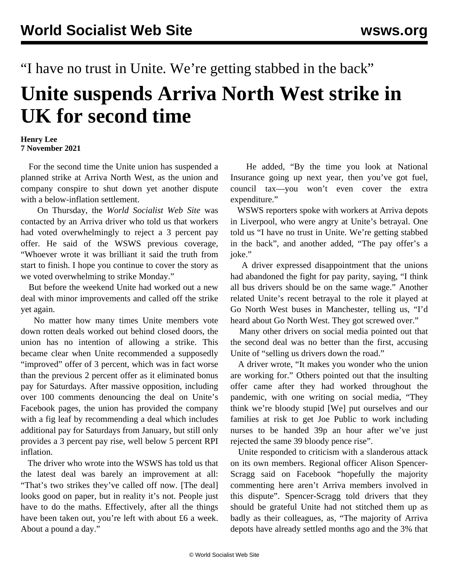"I have no trust in Unite. We're getting stabbed in the back"

## **Unite suspends Arriva North West strike in UK for second time**

## **Henry Lee 7 November 2021**

 For the second time the Unite union has suspended a planned strike at Arriva North West, as the union and company conspire to shut down yet another dispute with a below-inflation settlement.

 On Thursday, the *World Socialist Web Site* was contacted by an Arriva driver who told us that workers had voted overwhelmingly to reject a 3 percent pay offer. He said of the WSWS previous coverage, "Whoever wrote it was brilliant it said the truth from start to finish. I hope you continue to cover the story as we voted overwhelming to strike Monday."

 But before the weekend Unite had worked out a new deal with minor improvements and called off the strike yet again.

 No matter how many times Unite members vote down rotten deals worked out behind closed doors, the union has no intention of allowing a strike. This became clear when Unite recommended a supposedly "improved" offer of 3 percent, which was in fact worse than the previous 2 percent offer as it eliminated bonus pay for Saturdays. After massive opposition, including over 100 comments denouncing the deal on Unite's Facebook pages, the union has provided the company with a fig leaf by recommending a deal which includes additional pay for Saturdays from January, but still only provides a 3 percent pay rise, well below 5 percent RPI inflation.

 The driver who wrote into the WSWS has told us that the latest deal was barely an improvement at all: "That's two strikes they've called off now. [The deal] looks good on paper, but in reality it's not. People just have to do the maths. Effectively, after all the things have been taken out, you're left with about £6 a week. About a pound a day."

 He added, "By the time you look at National Insurance going up next year, then you've got fuel, council tax—you won't even cover the extra expenditure."

 WSWS reporters spoke with workers at Arriva depots in Liverpool, who were angry at Unite's betrayal. One told us "I have no trust in Unite. We're getting stabbed in the back", and another added, "The pay offer's a joke."

 A driver expressed disappointment that the unions had abandoned the fight for pay parity, saying, "I think all bus drivers should be on the same wage." Another related Unite's recent betrayal to the role it played at Go North West buses in Manchester, telling us, "I'd heard about Go North West. They got screwed over."

 Many other drivers on social media pointed out that the second deal was no better than the first, accusing Unite of "selling us drivers down the road."

 A driver wrote, "It makes you wonder who the union are working for." Others pointed out that the insulting offer came after they had worked throughout the pandemic, with one writing on social media, "They think we're bloody stupid [We] put ourselves and our families at risk to get Joe Public to work including nurses to be handed 39p an hour after we've just rejected the same 39 bloody pence rise".

 Unite responded to criticism with a slanderous attack on its own members. Regional officer Alison Spencer-Scragg said on Facebook "hopefully the majority commenting here aren't Arriva members involved in this dispute". Spencer-Scragg told drivers that they should be grateful Unite had not stitched them up as badly as their colleagues, as, "The majority of Arriva depots have already settled months ago and the 3% that